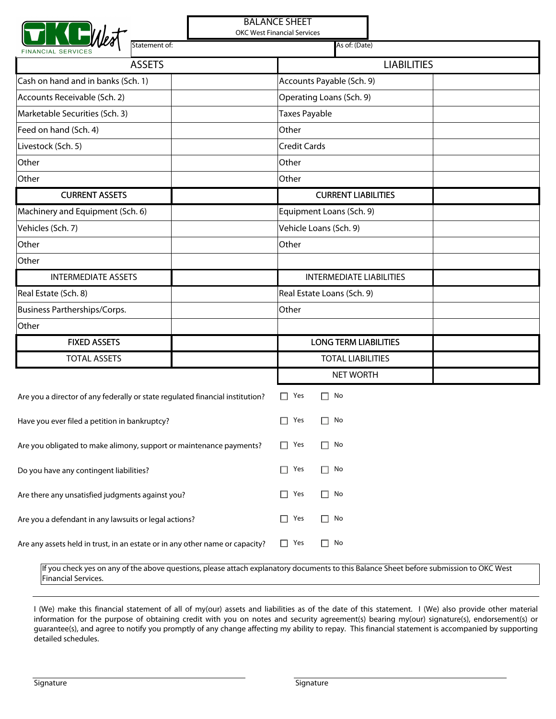| <b>BALANCE SHEET</b><br><b>OKC West Financial Services</b>                    |                                                                                                                                         |  |  |  |
|-------------------------------------------------------------------------------|-----------------------------------------------------------------------------------------------------------------------------------------|--|--|--|
| Statement of:<br><b>FINANCIAL SERVICE</b>                                     | As of: (Date)                                                                                                                           |  |  |  |
| <b>ASSETS</b>                                                                 | <b>LIABILITIES</b>                                                                                                                      |  |  |  |
| Cash on hand and in banks (Sch. 1)                                            | Accounts Payable (Sch. 9)                                                                                                               |  |  |  |
| Accounts Receivable (Sch. 2)                                                  | Operating Loans (Sch. 9)                                                                                                                |  |  |  |
| Marketable Securities (Sch. 3)                                                | Taxes Payable                                                                                                                           |  |  |  |
| Feed on hand (Sch. 4)                                                         | Other                                                                                                                                   |  |  |  |
| Livestock (Sch. 5)                                                            | <b>Credit Cards</b>                                                                                                                     |  |  |  |
| Other                                                                         | Other                                                                                                                                   |  |  |  |
| Other                                                                         | Other                                                                                                                                   |  |  |  |
| <b>CURRENT ASSETS</b>                                                         | <b>CURRENT LIABILITIES</b>                                                                                                              |  |  |  |
| Machinery and Equipment (Sch. 6)                                              | Equipment Loans (Sch. 9)                                                                                                                |  |  |  |
| Vehicles (Sch. 7)                                                             | Vehicle Loans (Sch. 9)                                                                                                                  |  |  |  |
| Other                                                                         | Other                                                                                                                                   |  |  |  |
| Other                                                                         |                                                                                                                                         |  |  |  |
| <b>INTERMEDIATE ASSETS</b>                                                    | <b>INTERMEDIATE LIABILITIES</b>                                                                                                         |  |  |  |
| Real Estate (Sch. 8)                                                          | Real Estate Loans (Sch. 9)                                                                                                              |  |  |  |
| Business Partherships/Corps.                                                  | Other                                                                                                                                   |  |  |  |
| Other                                                                         |                                                                                                                                         |  |  |  |
| <b>FIXED ASSETS</b>                                                           | <b>LONG TERM LIABILITIES</b>                                                                                                            |  |  |  |
| <b>TOTAL ASSETS</b>                                                           | <b>TOTAL LIABILITIES</b>                                                                                                                |  |  |  |
|                                                                               | <b>NET WORTH</b>                                                                                                                        |  |  |  |
| Are you a director of any federally or state regulated financial institution? | Yes<br>П<br>No<br>П.                                                                                                                    |  |  |  |
| Have you ever filed a petition in bankruptcy?                                 | $\Box$ Yes<br>$\Box$ No                                                                                                                 |  |  |  |
| Are you obligated to make alimony, support or maintenance payments?           | Yes<br>$\Box$ No<br>П                                                                                                                   |  |  |  |
| Do you have any contingent liabilities?                                       | Yes<br>$\Box$ No<br>П                                                                                                                   |  |  |  |
| Are there any unsatisfied judgments against you?                              | No<br>Yes<br>$\mathsf{L}$<br>$\Box$                                                                                                     |  |  |  |
| Are you a defendant in any lawsuits or legal actions?                         | $\Box$ No<br>Yes<br>П                                                                                                                   |  |  |  |
| Are any assets held in trust, in an estate or in any other name or capacity?  | $\Box$ No<br>Yes<br>П                                                                                                                   |  |  |  |
| Financial Services.                                                           | If you check yes on any of the above questions, please attach explanatory documents to this Balance Sheet before submission to OKC West |  |  |  |

I (We) make this financial statement of all of my(our) assets and liabilities as of the date of this statement. I (We) also provide other material

information for the purpose of obtaining credit with you on notes and security agreement(s) bearing my(our) signature(s), endorsement(s) or guarantee(s), and agree to notify you promptly of any change affecting my ability to repay. This financial statement is accompanied by supporting detailed schedules.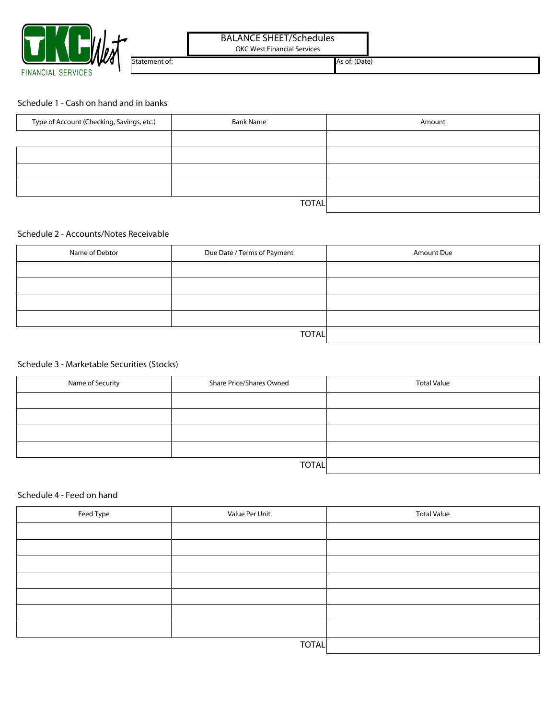

## BALANCE SHEET/Schedules

OKC West Financial Services

Statement of: As of: (Date)

#### Schedule 1 - Cash on hand and in banks

| Type of Account (Checking, Savings, etc.) | <b>Bank Name</b> | Amount |
|-------------------------------------------|------------------|--------|
|                                           |                  |        |
|                                           |                  |        |
|                                           |                  |        |
|                                           |                  |        |
|                                           | <b>TOTAL</b>     |        |

### Schedule 2 - Accounts/Notes Receivable

| Name of Debtor | Due Date / Terms of Payment | Amount Due |
|----------------|-----------------------------|------------|
|                |                             |            |
|                |                             |            |
|                |                             |            |
|                |                             |            |
|                | <b>TOTAL</b>                |            |

### Schedule 3 - Marketable Securities (Stocks)

| Name of Security | Share Price/Shares Owned | <b>Total Value</b> |
|------------------|--------------------------|--------------------|
|                  |                          |                    |
|                  |                          |                    |
|                  |                          |                    |
|                  |                          |                    |
|                  | <b>TOTAL</b>             |                    |

### Schedule 4 - Feed on hand

| Feed Type | Value Per Unit | <b>Total Value</b> |
|-----------|----------------|--------------------|
|           |                |                    |
|           |                |                    |
|           |                |                    |
|           |                |                    |
|           |                |                    |
|           |                |                    |
|           |                |                    |
|           | <b>TOTAL</b>   |                    |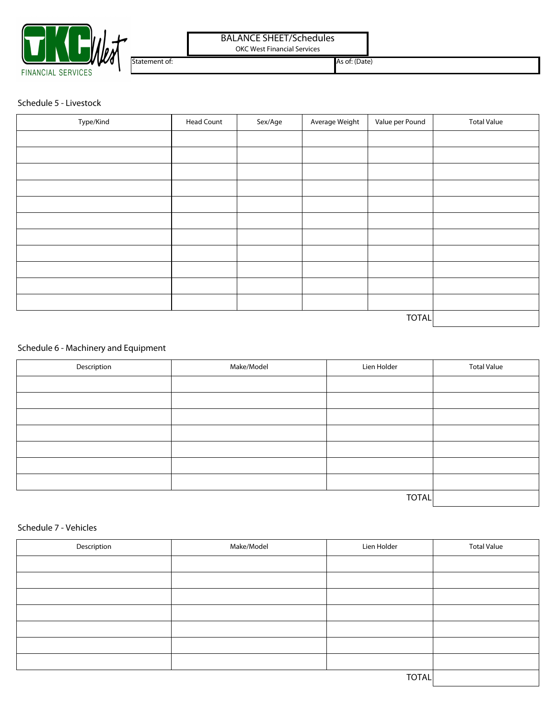

# BALANCE SHEET/Schedules

OKC West Financial Services

Statement of: As of: (Date)

Schedule 5 - Livestock

| Type/Kind | <b>Head Count</b> | Sex/Age | Average Weight | Value per Pound | <b>Total Value</b> |
|-----------|-------------------|---------|----------------|-----------------|--------------------|
|           |                   |         |                |                 |                    |
|           |                   |         |                |                 |                    |
|           |                   |         |                |                 |                    |
|           |                   |         |                |                 |                    |
|           |                   |         |                |                 |                    |
|           |                   |         |                |                 |                    |
|           |                   |         |                |                 |                    |
|           |                   |         |                |                 |                    |
|           |                   |         |                |                 |                    |
|           |                   |         |                |                 |                    |
|           |                   |         |                |                 |                    |
|           |                   |         |                | TOTAL           |                    |

## Schedule 6 - Machinery and Equipment

| Description | Make/Model | Lien Holder | <b>Total Value</b> |
|-------------|------------|-------------|--------------------|
|             |            |             |                    |
|             |            |             |                    |
|             |            |             |                    |
|             |            |             |                    |
|             |            |             |                    |
|             |            |             |                    |
|             |            |             |                    |
|             |            |             |                    |

### Schedule 7 - Vehicles

| Description | Make/Model | Lien Holder | <b>Total Value</b> |
|-------------|------------|-------------|--------------------|
|             |            |             |                    |
|             |            |             |                    |
|             |            |             |                    |
|             |            |             |                    |
|             |            |             |                    |
|             |            |             |                    |
|             |            |             |                    |
|             | TOTAL      |             |                    |